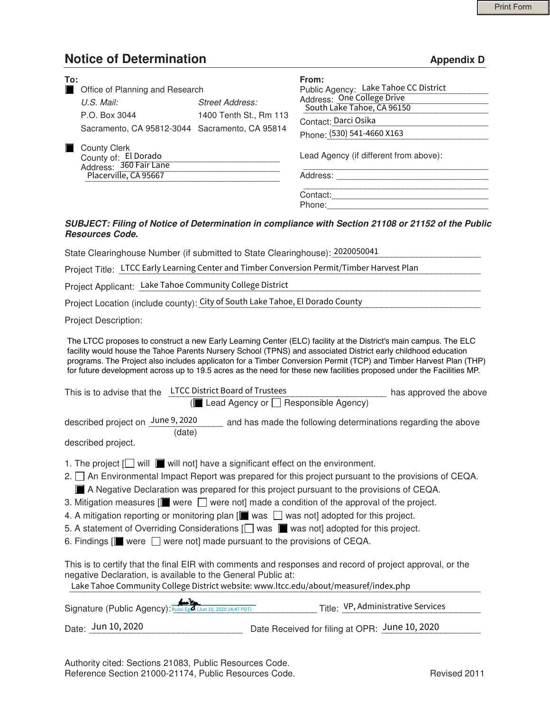## **Notice of Determination Appendix D Appendix D**

| To:<br>$\blacksquare$ | Office of Planning and Research                                                                                                                                                                                                                                                                                                                                                                                                                                                  |                                           | From:<br>Public Agency: Lake Tahoe CC District |                                                               |
|-----------------------|----------------------------------------------------------------------------------------------------------------------------------------------------------------------------------------------------------------------------------------------------------------------------------------------------------------------------------------------------------------------------------------------------------------------------------------------------------------------------------|-------------------------------------------|------------------------------------------------|---------------------------------------------------------------|
|                       | $U.S.$ Mail:                                                                                                                                                                                                                                                                                                                                                                                                                                                                     | <b>Street Address:</b>                    | Address: One College Drive                     |                                                               |
|                       |                                                                                                                                                                                                                                                                                                                                                                                                                                                                                  |                                           | South Lake Tahoe, CA 96150                     |                                                               |
|                       | P.O. Box 3044                                                                                                                                                                                                                                                                                                                                                                                                                                                                    | 1400 Tenth St., Rm 113                    | Contact: Darci Osika                           |                                                               |
|                       | Sacramento, CA 95812-3044 Sacramento, CA 95814                                                                                                                                                                                                                                                                                                                                                                                                                                   |                                           | Phone: (530) 541-4660 X163                     |                                                               |
| m.                    | <b>County Clerk</b><br>County of: El Dorado<br>Address: 360 Fair Lane                                                                                                                                                                                                                                                                                                                                                                                                            |                                           | Lead Agency (if different from above):         |                                                               |
|                       | Placerville, CA 95667                                                                                                                                                                                                                                                                                                                                                                                                                                                            |                                           |                                                |                                                               |
|                       |                                                                                                                                                                                                                                                                                                                                                                                                                                                                                  |                                           |                                                |                                                               |
|                       | State Clearinghouse Number (if submitted to State Clearinghouse): 2020050041<br>Project Title: LTCC Early Learning Center and Timber Conversion Permit/Timber Harvest Plan                                                                                                                                                                                                                                                                                                       |                                           |                                                |                                                               |
|                       | Project Applicant: Lake Tahoe Community College District                                                                                                                                                                                                                                                                                                                                                                                                                         |                                           |                                                |                                                               |
|                       | Project Location (include county): City of South Lake Tahoe, El Dorado County                                                                                                                                                                                                                                                                                                                                                                                                    |                                           |                                                |                                                               |
|                       | Project Description:                                                                                                                                                                                                                                                                                                                                                                                                                                                             |                                           |                                                |                                                               |
|                       | The LTCC proposes to construct a new Early Learning Center (ELC) facility at the District's main campus. The ELC<br>facility would house the Tahoe Parents Nursery School (TPNS) and associated District early childhood education<br>programs. The Project also includes applicaton for a Timber Conversion Permit (TCP) and Timber Harvest Plan (THP)<br>for future development across up to 19.5 acres as the need for these new facilities proposed under the Facilities MP. |                                           |                                                |                                                               |
|                       | This is to advise that the LTCC District Board of Trustees                                                                                                                                                                                                                                                                                                                                                                                                                       | Lead Agency or $\Box$ Responsible Agency) |                                                | has approved the above                                        |
|                       | described project on June 9, 2020                                                                                                                                                                                                                                                                                                                                                                                                                                                |                                           |                                                | and has made the following determinations regarding the above |

## *SUBJECT: Filing of Notice of Determination in compliance with Section 21108 or 21152 of the Public Resources Code.*

| Project Applicant: Lake Tahoe Community College District                                                                                                                                                                                                                                                                                                                                                                                                                                                                                                                                                                                                                                                                                                  |
|-----------------------------------------------------------------------------------------------------------------------------------------------------------------------------------------------------------------------------------------------------------------------------------------------------------------------------------------------------------------------------------------------------------------------------------------------------------------------------------------------------------------------------------------------------------------------------------------------------------------------------------------------------------------------------------------------------------------------------------------------------------|
| Project Location (include county): City of South Lake Tahoe, El Dorado County                                                                                                                                                                                                                                                                                                                                                                                                                                                                                                                                                                                                                                                                             |
| <b>Project Description:</b>                                                                                                                                                                                                                                                                                                                                                                                                                                                                                                                                                                                                                                                                                                                               |
| The LTCC proposes to construct a new Early Learning Center (ELC) facility at the District's main campus. The ELC<br>facility would house the Tahoe Parents Nursery School (TPNS) and associated District early childhood education<br>programs. The Project also includes applicaton for a Timber Conversion Permit (TCP) and Timber Harvest Plan (THP)<br>for future development across up to 19.5 acres as the need for these new facilities proposed under the Facilities MP.                                                                                                                                                                                                                                                                          |
| <b>LTCC District Board of Trustees</b><br>This is to advise that the<br>has approved the above                                                                                                                                                                                                                                                                                                                                                                                                                                                                                                                                                                                                                                                            |
| Lead Agency or $\Box$ Responsible Agency)                                                                                                                                                                                                                                                                                                                                                                                                                                                                                                                                                                                                                                                                                                                 |
| described project on June 9, 2020<br>and has made the following determinations regarding the above<br>(date)                                                                                                                                                                                                                                                                                                                                                                                                                                                                                                                                                                                                                                              |
| described project.                                                                                                                                                                                                                                                                                                                                                                                                                                                                                                                                                                                                                                                                                                                                        |
| 1. The project $\Box$ will $\blacksquare$ will not] have a significant effect on the environment.<br>2. □ An Environmental Impact Report was prepared for this project pursuant to the provisions of CEQA.<br>A Negative Declaration was prepared for this project pursuant to the provisions of CEQA.<br>3. Mitigation measures $\boxed{\blacksquare}$ were $\boxed{\square}$ were not made a condition of the approval of the project.<br>4. A mitigation reporting or monitoring plan $[\blacksquare$ was $\Box$ was not] adopted for this project.<br>5. A statement of Overriding Considerations [ ] was sum was not] adopted for this project.<br>6. Findings $\boxed{\blacksquare}$ were $\Box$ were not] made pursuant to the provisions of CEQA. |
| This is to certify that the final EIR with comments and responses and record of project approval, or the<br>negative Declaration, is available to the General Public at:<br>Lake Tahoe Community College District website: www.ltcc.edu/about/measuref/index.php                                                                                                                                                                                                                                                                                                                                                                                                                                                                                          |
| Title: VP, Administrative Services<br>Signature (Public Agency): Russi Egal (Jun 10, 2020 14:47 PDT)                                                                                                                                                                                                                                                                                                                                                                                                                                                                                                                                                                                                                                                      |
| Date: Jun 10, 2020<br>Date Received for filing at OPR: June 10, 2020                                                                                                                                                                                                                                                                                                                                                                                                                                                                                                                                                                                                                                                                                      |

 Authority cited: Sections 21083, Public Resources Code. Reference Section 21000-21174, Public Resources Code. The revised 2011 Revised 2011